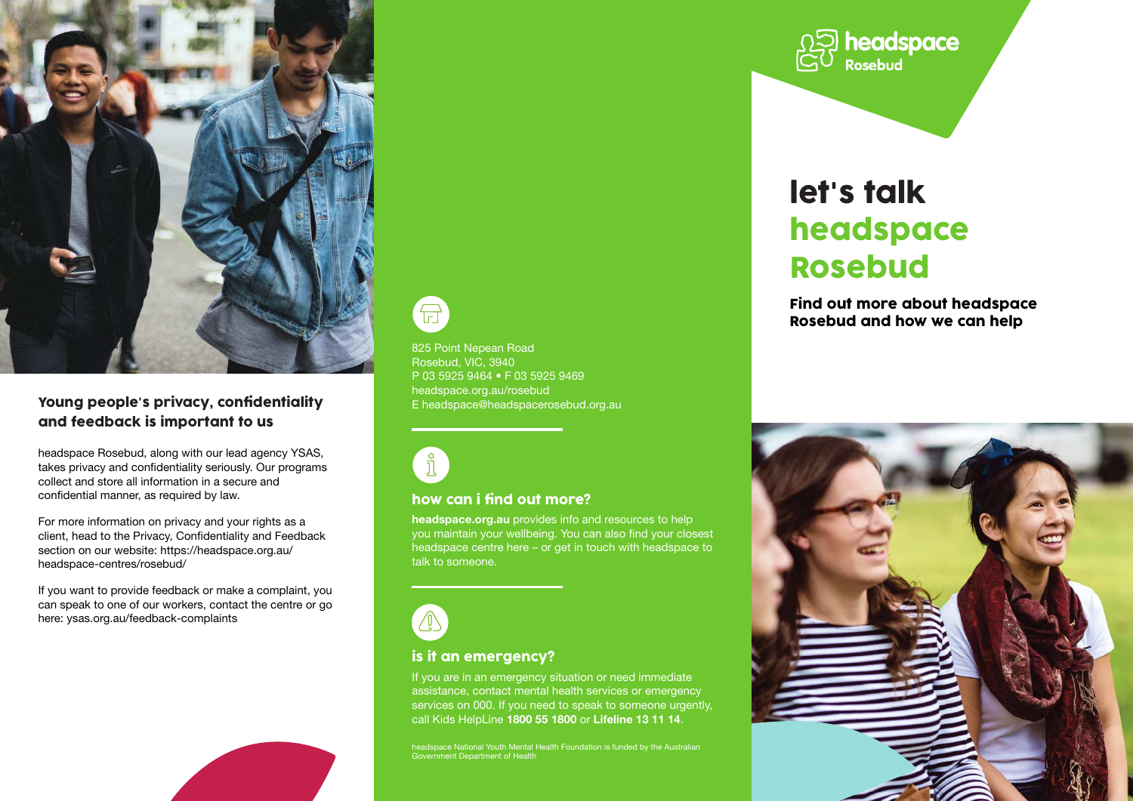

#### Young people's privacy, confidentiality and feedback is important to us

headspace Rosebud, along with our lead agency YSAS, takes privacy and confidentiality seriously. Our programs collect and store all information in a secure and confidential manner, as required by law.

For more information on privacy and your rights as a client, head to the Privacy, Confidentiality and Feedback section on our website: https://headspace.org.au/ headspace-centres/rosebud/

If you want to provide feedback or make a complaint, you can speak to one of our workers, contact the centre or go here: ysas.org.au/feedback-complaints



 $\bigoplus$ 

825 Point Nepean Road Rosebud, VIC, 3940 P 03 5925 9464 • F 03 5925 9469 headspace.org.au/rosebud E headspace@headspacerosebud.org.au



#### how can i find out more?

headspace.org.au provides info and resources to help you maintain your wellbeing. You can also find your closest headspace centre here – or get in touch with headspace to talk to someone.



#### is it an emergency?

If you are in an emergency situation or need immediate assistance, contact mental health services or emergency services on 000. If you need to speak to someone urgently. call Kids HelpLine 1800 55 1800 or Lifeline 13 11 14.

headspace National Youth Mental Health Foundation is funded by the Australian Government Department of Health



# let's talk headspace Rosebud

Find out more about headspace Rosebud and how we can help